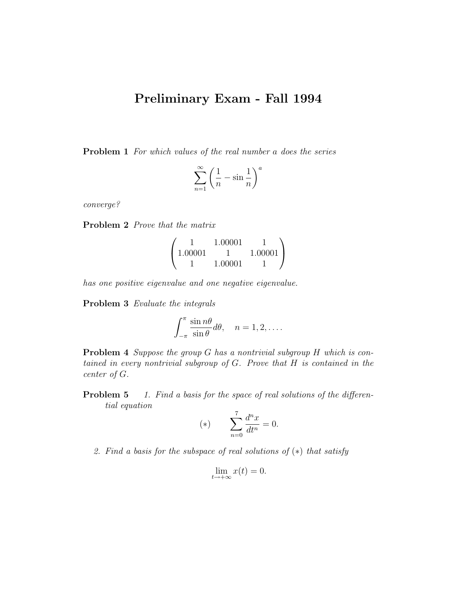## Preliminary Exam - Fall 1994

Problem 1 For which values of the real number a does the series

$$
\sum_{n=1}^{\infty} \left( \frac{1}{n} - \sin \frac{1}{n} \right)^a
$$

converge?

Problem 2 Prove that the matrix

|         | 1.00001 |         |  |
|---------|---------|---------|--|
| 1.00001 |         | 1.00001 |  |
|         | 1.00001 |         |  |

has one positive eigenvalue and one negative eigenvalue.

Problem 3 Evaluate the integrals

$$
\int_{-\pi}^{\pi} \frac{\sin n\theta}{\sin \theta} d\theta, \quad n = 1, 2, \dots
$$

Problem 4 Suppose the group G has a nontrivial subgroup H which is contained in every nontrivial subgroup of  $G$ . Prove that  $H$  is contained in the center of G.

**Problem 5** 1. Find a basis for the space of real solutions of the differential equation

(\*) 
$$
\sum_{n=0}^{7} \frac{d^n x}{dt^n} = 0.
$$

2. Find a basis for the subspace of real solutions of (∗) that satisfy

$$
\lim_{t \to +\infty} x(t) = 0.
$$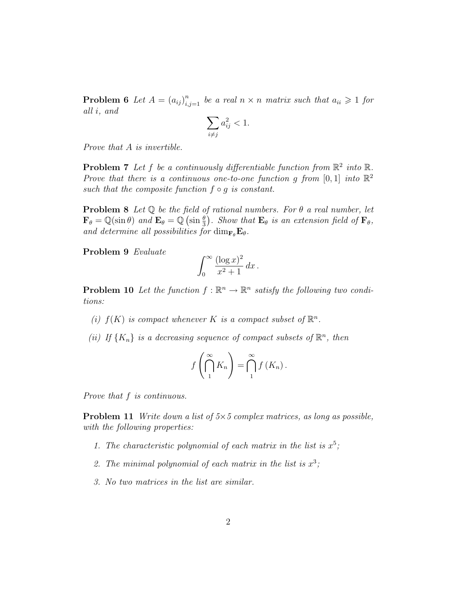**Problem 6** Let  $A = (a_{ij})_{i,j=1}^n$  be a real  $n \times n$  matrix such that  $a_{ii} \geq 1$  for all i, and

$$
\sum_{i \neq j} a_{ij}^2 < 1.
$$

Prove that A is invertible.

**Problem 7** Let f be a continuously differentiable function from  $\mathbb{R}^2$  into  $\mathbb{R}$ . Prove that there is a continuous one-to-one function g from [0, 1] into  $\mathbb{R}^2$ such that the composite function  $f \circ q$  is constant.

**Problem 8** Let  $\mathbb Q$  be the field of rational numbers. For  $\theta$  a real number, let  $\mathbf{F}_{\theta} = \mathbb{Q}(\sin \theta)$  and  $\mathbf{E}_{\theta} = \mathbb{Q}(\sin \frac{\theta}{3})$ . Show that  $\mathbf{E}_{\theta}$  is an extension field of  $\mathbf{F}_{\theta}$ , and determine all possibilities for  $\dim_{\mathbf{F}_{\theta}} \mathbf{E}_{\theta}$ .

Problem 9 Evaluate

$$
\int_0^\infty \frac{(\log x)^2}{x^2 + 1} \, dx \, .
$$

**Problem 10** Let the function  $f : \mathbb{R}^n \to \mathbb{R}^n$  satisfy the following two conditions:

- (i)  $f(K)$  is compact whenever K is a compact subset of  $\mathbb{R}^n$ .
- (ii) If  $\{K_n\}$  is a decreasing sequence of compact subsets of  $\mathbb{R}^n$ , then

$$
f\left(\bigcap_{1}^{\infty} K_{n}\right) = \bigcap_{1}^{\infty} f\left(K_{n}\right).
$$

Prove that f is continuous.

**Problem 11** Write down a list of  $5 \times 5$  complex matrices, as long as possible, with the following properties:

- 1. The characteristic polynomial of each matrix in the list is  $x^5$ ;
- 2. The minimal polynomial of each matrix in the list is  $x^3$ ;
- 3. No two matrices in the list are similar.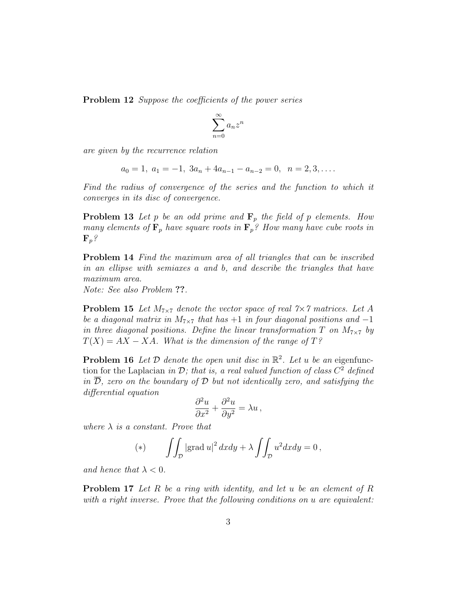**Problem 12** Suppose the coefficients of the power series

$$
\sum_{n=0}^{\infty} a_n z^n
$$

are given by the recurrence relation

$$
a_0 = 1, \ a_1 = -1, \ 3a_n + 4a_{n-1} - a_{n-2} = 0, \ \ n = 2, 3, \dots
$$

Find the radius of convergence of the series and the function to which it converges in its disc of convergence.

**Problem 13** Let p be an odd prime and  $\mathbf{F}_p$  the field of p elements. How many elements of  $\mathbf{F}_p$  have square roots in  $\mathbf{F}_p$ ? How many have cube roots in  $\mathbf{F}_p$ ?

Problem 14 Find the maximum area of all triangles that can be inscribed in an ellipse with semiaxes a and b, and describe the triangles that have maximum area.

Note: See also Problem ??.

**Problem 15** Let  $M_{7\times7}$  denote the vector space of real  $7\times7$  matrices. Let A be a diagonal matrix in  $M_{7\times7}$  that has  $+1$  in four diagonal positions and  $-1$ in three diagonal positions. Define the linear transformation T on  $M_{7\times7}$  by  $T(X) = AX - XA$ . What is the dimension of the range of T?

**Problem 16** Let  $D$  denote the open unit disc in  $\mathbb{R}^2$ . Let u be an eigenfunction for the Laplacian in D; that is, a real valued function of class  $C^2$  defined in  $D$ , zero on the boundary of  $D$  but not identically zero, and satisfying the differential equation

$$
\frac{\partial^2 u}{\partial x^2} + \frac{\partial^2 u}{\partial y^2} = \lambda u \,,
$$

where  $\lambda$  is a constant. Prove that

(\*) 
$$
\iint_{\mathcal{D}} |\text{grad } u|^2 dx dy + \lambda \iint_{\mathcal{D}} u^2 dx dy = 0,
$$

and hence that  $\lambda < 0$ .

Problem 17 Let R be a ring with identity, and let u be an element of R with a right inverse. Prove that the following conditions on u are equivalent: